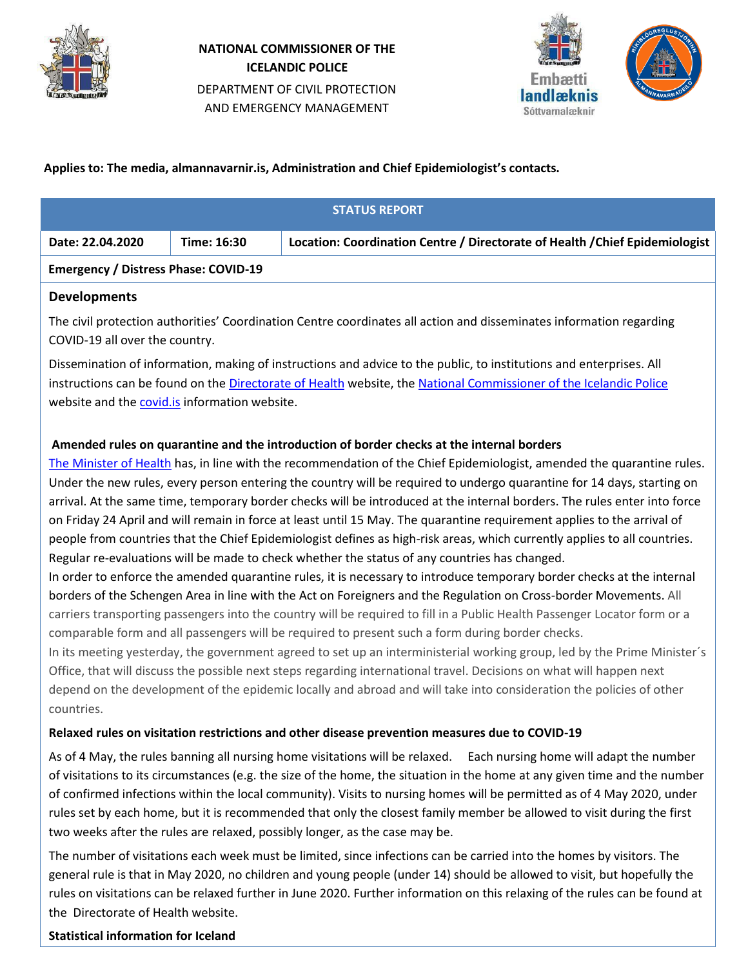

# **NATIONAL COMMISSIONER OF THE ICELANDIC POLICE** DEPARTMENT OF CIVIL PROTECTION AND EMERGENCY MANAGEMENT



# **Applies to: The media, almannavarnir.is, Administration and Chief Epidemiologist's contacts.**

| <b>STATUS REPORT</b>                        |             |                                                                              |  |  |
|---------------------------------------------|-------------|------------------------------------------------------------------------------|--|--|
| Date: 22.04.2020                            | Time: 16:30 | Location: Coordination Centre / Directorate of Health / Chief Epidemiologist |  |  |
| <b>Emergency / Distress Phase: COVID-19</b> |             |                                                                              |  |  |
| <b>Developments</b>                         |             |                                                                              |  |  |

The civil protection authorities' Coordination Centre coordinates all action and disseminates information regarding COVID-19 all over the country.

Dissemination of information, making of instructions and advice to the public, to institutions and enterprises. All instructions can be found on the [Directorate of Health](https://www.landlaeknir.is/koronaveira) website, the [National Commissioner of the Icelandic Police](https://www.almannavarnir.is/) website and the [covid.is](http://www.covid.is/) information website.

# **Amended rules on quarantine and the introduction of border checks at the internal borders**

[The Minister of Health](https://www.stjornarradid.is/efst-a-baugi/frettir/stok-frett/2020/04/22/Breyttar-reglur-um-sottkvi-og-upptaka-landamaeraeftirlits-a-innri-landamaerum/) has, in line with the recommendation of the Chief Epidemiologist, amended the quarantine rules. Under the new rules, every person entering the country will be required to undergo quarantine for 14 days, starting on arrival. At the same time, temporary border checks will be introduced at the internal borders. The rules enter into force on Friday 24 April and will remain in force at least until 15 May. The quarantine requirement applies to the arrival of people from countries that the Chief Epidemiologist defines as high-risk areas, which currently applies to all countries. Regular re-evaluations will be made to check whether the status of any countries has changed.

In order to enforce the amended quarantine rules, it is necessary to introduce temporary border checks at the internal borders of the Schengen Area in line with the Act on Foreigners and the Regulation on Cross-border Movements. All carriers transporting passengers into the country will be required to fill in a Public Health Passenger Locator form or a comparable form and all passengers will be required to present such a form during border checks.

In its meeting yesterday, the government agreed to set up an interministerial working group, led by the Prime Minister's Office, that will discuss the possible next steps regarding international travel. Decisions on what will happen next depend on the development of the epidemic locally and abroad and will take into consideration the policies of other countries.

# **Relaxed rules on visitation restrictions and other disease prevention measures due to COVID-19**

As of 4 May, the rules banning all nursing home visitations will be relaxed. Each nursing home will adapt the number of visitations to its circumstances (e.g. the size of the home, the situation in the home at any given time and the number of confirmed infections within the local community). Visits to nursing homes will be permitted as of 4 May 2020, under rules set by each home, but it is recommended that only the closest family member be allowed to visit during the first two weeks after the rules are relaxed, possibly longer, as the case may be.

The number of visitations each week must be limited, since infections can be carried into the homes by visitors. The general rule is that in May 2020, no children and young people (under 14) should be allowed to visit, but hopefully the rules on visitations can be relaxed further in June 2020. Further information on this relaxing of the rules can be found at the Directorate of Health website.

### **Statistical information for Iceland**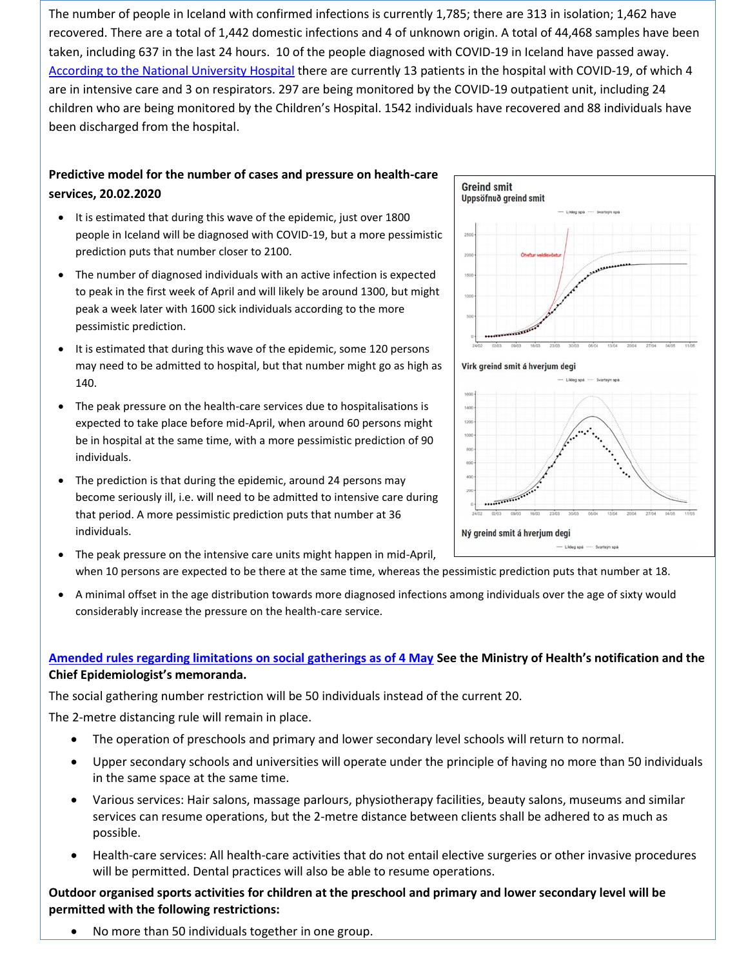The number of people in Iceland with confirmed infections is currently 1,785; there are 313 in isolation; 1,462 have recovered. There are a total of 1,442 domestic infections and 4 of unknown origin. A total of 44,468 samples have been taken, including 637 in the last 24 hours. 10 of the people diagnosed with COVID-19 in Iceland have passed away. [According to the National University Hospital](https://www.landspitali.is/default.aspx?pageid=b629a8e0-b262-49e0-b842-0f776cb4241e) there are currently 13 patients in the hospital with COVID-19, of which 4 are in intensive care and 3 on respirators. 297 are being monitored by the COVID-19 outpatient unit, including 24 children who are being monitored by the Children's Hospital. 1542 individuals have recovered and 88 individuals have been discharged from the hospital.

# **Predictive model for the number of cases and pressure on health-care services, 20.02.2020**

- It is estimated that during this wave of the epidemic, just over 1800 people in Iceland will be diagnosed with COVID-19, but a more pessimistic prediction puts that number closer to 2100.
- The number of diagnosed individuals with an active infection is expected to peak in the first week of April and will likely be around 1300, but might peak a week later with 1600 sick individuals according to the more pessimistic prediction.
- It is estimated that during this wave of the epidemic, some 120 persons may need to be admitted to hospital, but that number might go as high as 140.
- The peak pressure on the health-care services due to hospitalisations is expected to take place before mid-April, when around 60 persons might be in hospital at the same time, with a more pessimistic prediction of 90 individuals.
- The prediction is that during the epidemic, around 24 persons may become seriously ill, i.e. will need to be admitted to intensive care during that period. A more pessimistic prediction puts that number at 36 individuals.



#### Virk greind smit á hverjum degi



- The peak pressure on the intensive care units might happen in mid-April,
- when 10 persons are expected to be there at the same time, whereas the pessimistic prediction puts that number at 18.
- A minimal offset in the age distribution towards more diagnosed infections among individuals over the age of sixty would considerably increase the pressure on the health-care service.

### **[Amended rules regarding limitations on social gatherings as of 4 May](https://www.stjornarradid.is/efst-a-baugi/frettir/stok-frett/2020/04/21/Breyttar-reglur-um-takmarkanir-a-samkomum-fra-4.-mai/) See the Ministry of Health's notification and the Chief Epidemiologist's memoranda.**

The social gathering number restriction will be 50 individuals instead of the current 20.

The 2-metre distancing rule will remain in place.

- The operation of preschools and primary and lower secondary level schools will return to normal.
- Upper secondary schools and universities will operate under the principle of having no more than 50 individuals in the same space at the same time.
- Various services: Hair salons, massage parlours, physiotherapy facilities, beauty salons, museums and similar services can resume operations, but the 2-metre distance between clients shall be adhered to as much as possible.
- Health-care services: All health-care activities that do not entail elective surgeries or other invasive procedures will be permitted. Dental practices will also be able to resume operations.

**Outdoor organised sports activities for children at the preschool and primary and lower secondary level will be permitted with the following restrictions:**

No more than 50 individuals together in one group.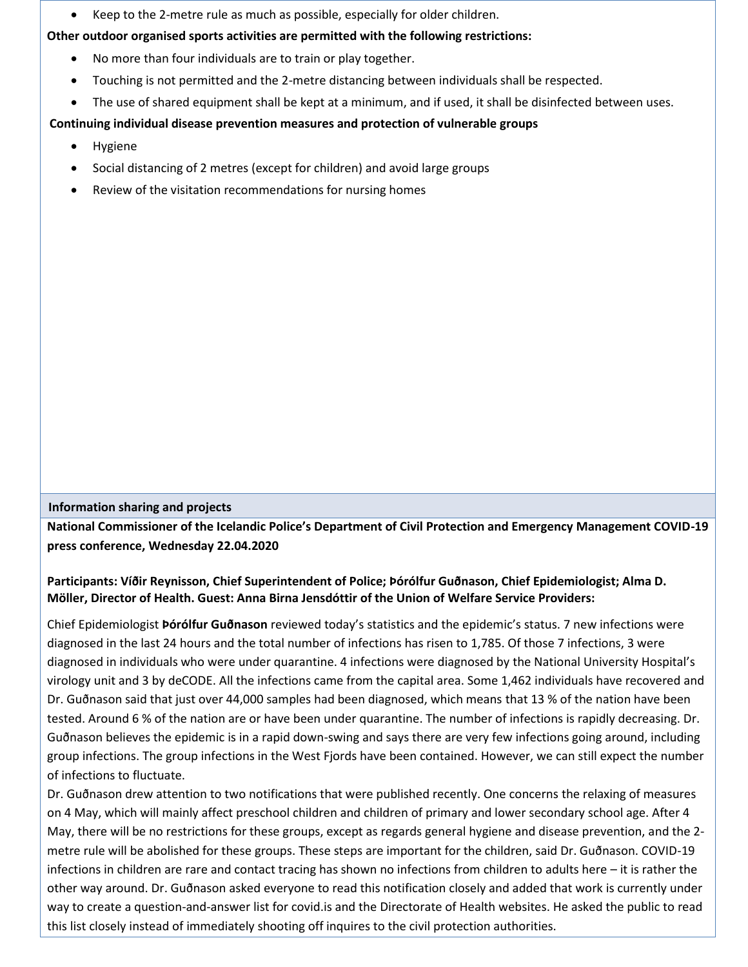Keep to the 2-metre rule as much as possible, especially for older children.

### **Other outdoor organised sports activities are permitted with the following restrictions:**

- No more than four individuals are to train or play together.
- Touching is not permitted and the 2-metre distancing between individuals shall be respected.
- The use of shared equipment shall be kept at a minimum, and if used, it shall be disinfected between uses.

# **Continuing individual disease prevention measures and protection of vulnerable groups**

- Hygiene
- Social distancing of 2 metres (except for children) and avoid large groups
- Review of the visitation recommendations for nursing homes

### **Information sharing and projects**

**National Commissioner of the Icelandic Police's Department of Civil Protection and Emergency Management COVID-19 press conference, Wednesday 22.04.2020**

# **Participants: Víðir Reynisson, Chief Superintendent of Police; Þórólfur Guðnason, Chief Epidemiologist; Alma D. Möller, Director of Health. Guest: Anna Birna Jensdóttir of the Union of Welfare Service Providers:**

Chief Epidemiologist **Þórólfur Guðnason** reviewed today's statistics and the epidemic's status. 7 new infections were diagnosed in the last 24 hours and the total number of infections has risen to 1,785. Of those 7 infections, 3 were diagnosed in individuals who were under quarantine. 4 infections were diagnosed by the National University Hospital's virology unit and 3 by deCODE. All the infections came from the capital area. Some 1,462 individuals have recovered and Dr. Guðnason said that just over 44,000 samples had been diagnosed, which means that 13 % of the nation have been tested. Around 6 % of the nation are or have been under quarantine. The number of infections is rapidly decreasing. Dr. Guðnason believes the epidemic is in a rapid down-swing and says there are very few infections going around, including group infections. The group infections in the West Fjords have been contained. However, we can still expect the number of infections to fluctuate.

Dr. Guðnason drew attention to two notifications that were published recently. One concerns the relaxing of measures on 4 May, which will mainly affect preschool children and children of primary and lower secondary school age. After 4 May, there will be no restrictions for these groups, except as regards general hygiene and disease prevention, and the 2 metre rule will be abolished for these groups. These steps are important for the children, said Dr. Guðnason. COVID-19 infections in children are rare and contact tracing has shown no infections from children to adults here – it is rather the other way around. Dr. Guðnason asked everyone to read this notification closely and added that work is currently under way to create a question-and-answer list for covid.is and the Directorate of Health websites. He asked the public to read this list closely instead of immediately shooting off inquires to the civil protection authorities.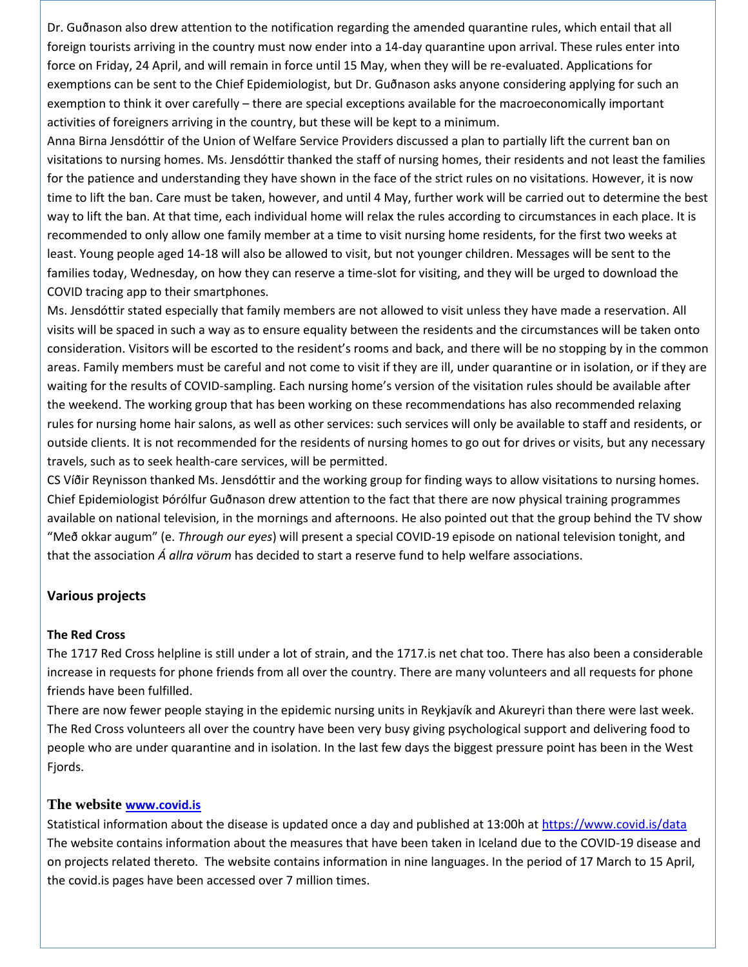Dr. Guðnason also drew attention to the notification regarding the amended quarantine rules, which entail that all foreign tourists arriving in the country must now ender into a 14-day quarantine upon arrival. These rules enter into force on Friday, 24 April, and will remain in force until 15 May, when they will be re-evaluated. Applications for exemptions can be sent to the Chief Epidemiologist, but Dr. Guðnason asks anyone considering applying for such an exemption to think it over carefully – there are special exceptions available for the macroeconomically important activities of foreigners arriving in the country, but these will be kept to a minimum.

Anna Birna Jensdóttir of the Union of Welfare Service Providers discussed a plan to partially lift the current ban on visitations to nursing homes. Ms. Jensdóttir thanked the staff of nursing homes, their residents and not least the families for the patience and understanding they have shown in the face of the strict rules on no visitations. However, it is now time to lift the ban. Care must be taken, however, and until 4 May, further work will be carried out to determine the best way to lift the ban. At that time, each individual home will relax the rules according to circumstances in each place. It is recommended to only allow one family member at a time to visit nursing home residents, for the first two weeks at least. Young people aged 14-18 will also be allowed to visit, but not younger children. Messages will be sent to the families today, Wednesday, on how they can reserve a time-slot for visiting, and they will be urged to download the COVID tracing app to their smartphones.

Ms. Jensdóttir stated especially that family members are not allowed to visit unless they have made a reservation. All visits will be spaced in such a way as to ensure equality between the residents and the circumstances will be taken onto consideration. Visitors will be escorted to the resident's rooms and back, and there will be no stopping by in the common areas. Family members must be careful and not come to visit if they are ill, under quarantine or in isolation, or if they are waiting for the results of COVID-sampling. Each nursing home's version of the visitation rules should be available after the weekend. The working group that has been working on these recommendations has also recommended relaxing rules for nursing home hair salons, as well as other services: such services will only be available to staff and residents, or outside clients. It is not recommended for the residents of nursing homes to go out for drives or visits, but any necessary travels, such as to seek health-care services, will be permitted.

CS Víðir Reynisson thanked Ms. Jensdóttir and the working group for finding ways to allow visitations to nursing homes. Chief Epidemiologist Þórólfur Guðnason drew attention to the fact that there are now physical training programmes available on national television, in the mornings and afternoons. He also pointed out that the group behind the TV show "Með okkar augum" (e. *Through our eyes*) will present a special COVID-19 episode on national television tonight, and that the association *Á allra vörum* has decided to start a reserve fund to help welfare associations.

### **Various projects**

### **The Red Cross**

The 1717 Red Cross helpline is still under a lot of strain, and the 1717.is net chat too. There has also been a considerable increase in requests for phone friends from all over the country. There are many volunteers and all requests for phone friends have been fulfilled.

There are now fewer people staying in the epidemic nursing units in Reykjavík and Akureyri than there were last week. The Red Cross volunteers all over the country have been very busy giving psychological support and delivering food to people who are under quarantine and in isolation. In the last few days the biggest pressure point has been in the West Fjords.

### **The website [www.covid.is](http://www.covid.is/)**

Statistical information about the disease is updated once a day and published at 13:00h a[t https://www.covid.is/data](https://www.covid.is/tolulegar-upplysingar) The website contains information about the measures that have been taken in Iceland due to the COVID-19 disease and on projects related thereto. The website contains information in nine languages. In the period of 17 March to 15 April, the covid.is pages have been accessed over 7 million times.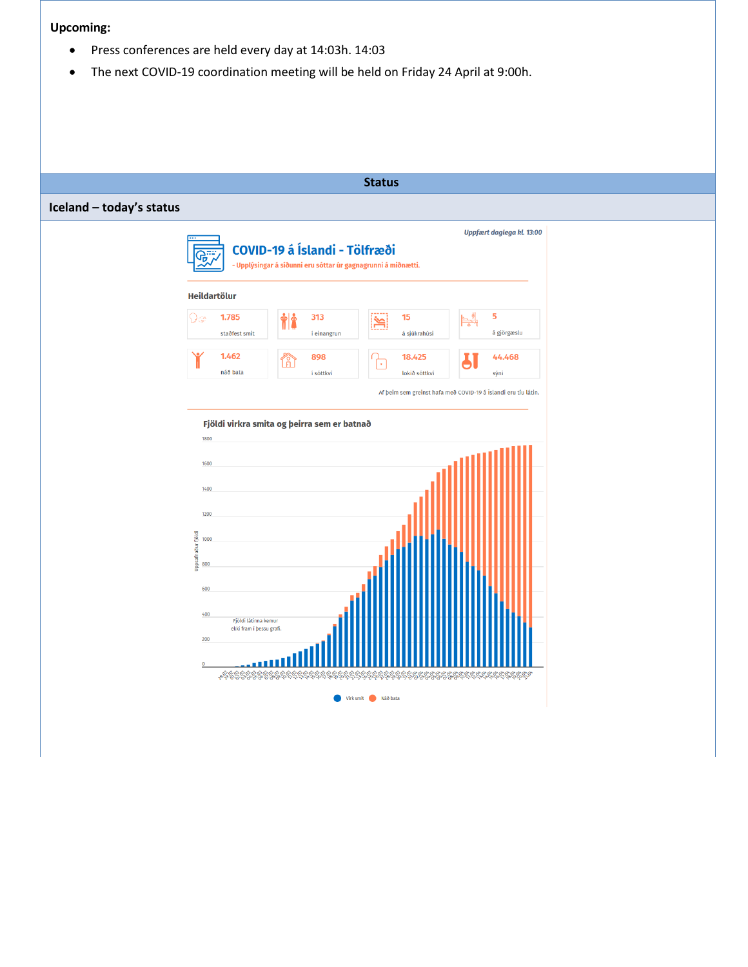#### **Upcoming:**

- Press conferences are held every day at 14:03h. 14:03
- The next COVID-19 coordination meeting will be held on Friday 24 April at 9:00h.

#### **Status**

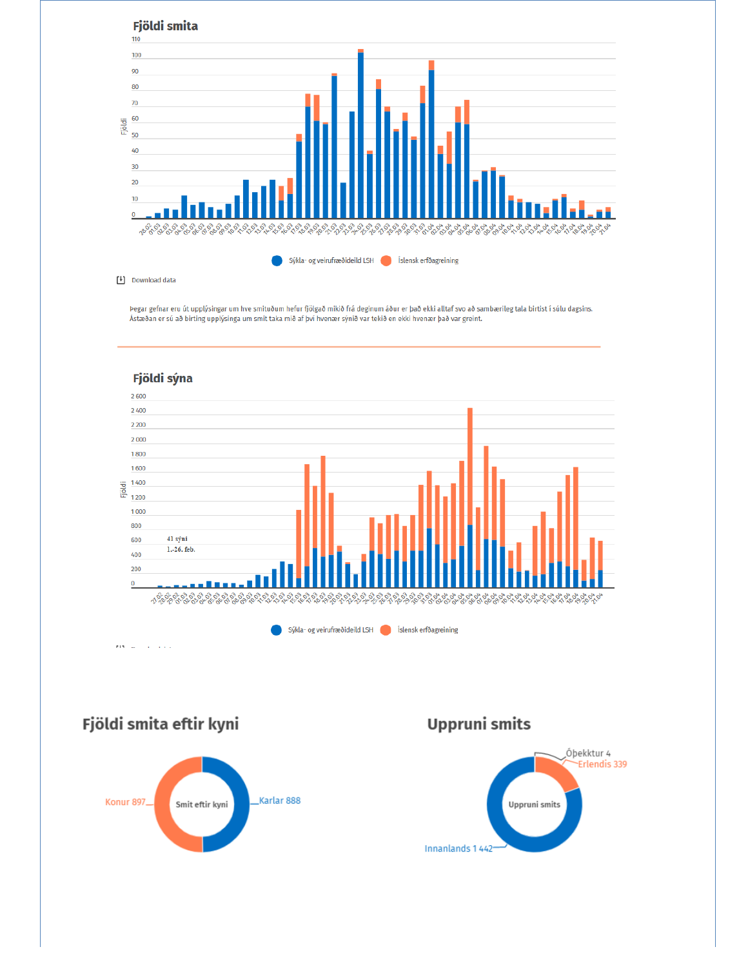

Þegar gefnar eru út upplýsingar um hve smituðum hefur fjölgað mikið frá deginum áður er það ekki alltaf svo að sambærileg tala birtist í súlu dagsins. Ástæðan er sú að birting upplýsinga um smit taka mið af því hvenær sýnið var tekið en ekki hvenær það var greint.



Fjöldi smita eftir kyni



**Uppruni smits** 

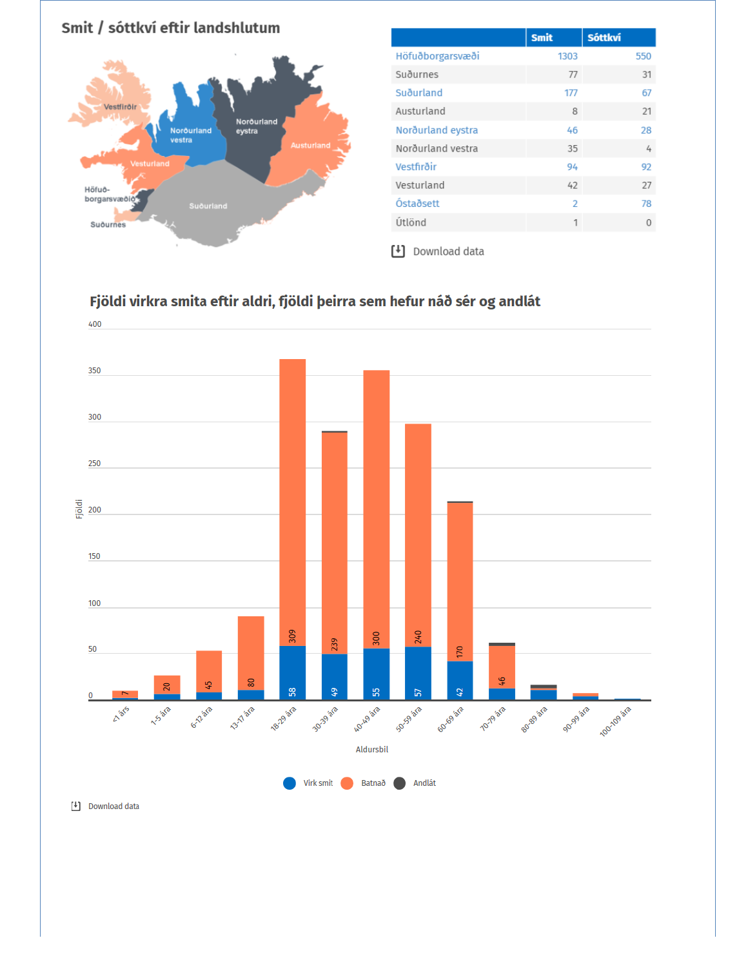

|                   | <b>Smit</b>    | <b>Sóttkví</b> |
|-------------------|----------------|----------------|
| Höfuðborgarsvæði  | 1303           | 550            |
| Suðurnes          | 77             | 31             |
| Suðurland         | 177            | 67             |
| Austurland        | 8              | 21             |
| Norðurland eystra | 46             | 28             |
| Norðurland vestra | 35             | 4              |
| Vestfirðir        | 94             | 92             |
| Vesturland        | 42             | 27             |
| Óstaðsett         | $\overline{2}$ | 78             |
| Útlönd            | 1              | 0              |
|                   |                |                |

Download data

# Fjöldi virkra smita eftir aldri, fjöldi þeirra sem hefur náð sér og andlát



[4] Download data